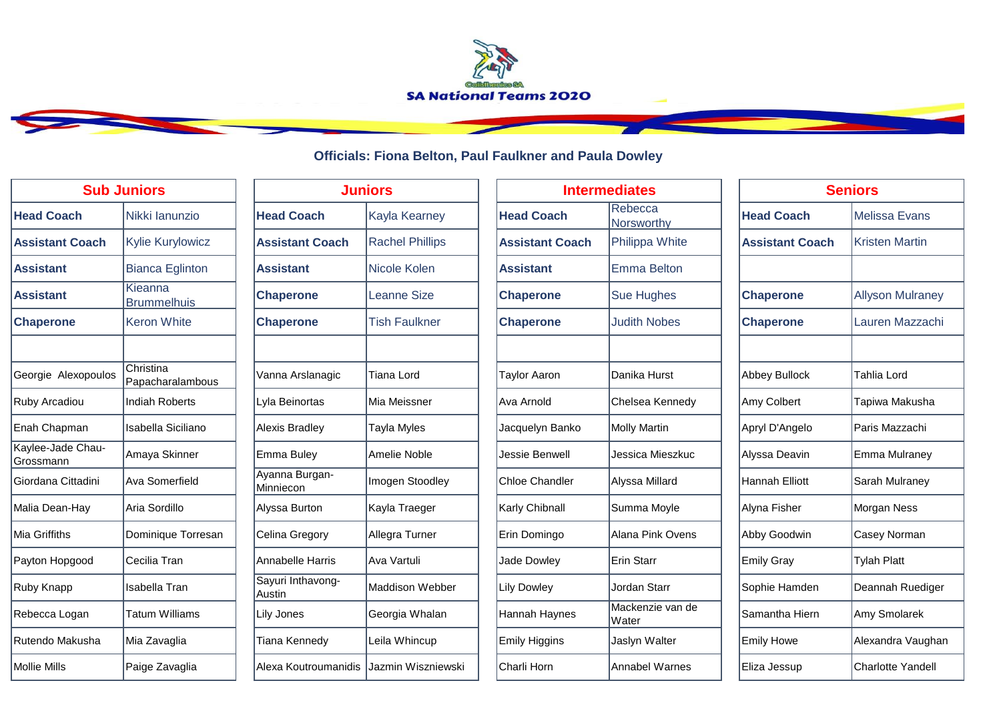

## **Officials: Fiona Belton, Paul Faulkner and Paula Dowley**

| <b>Sub Juniors</b>             |                               | <b>Juniors</b>                          |                        |                        | <b>Intermediates</b>      |  |
|--------------------------------|-------------------------------|-----------------------------------------|------------------------|------------------------|---------------------------|--|
| <b>Head Coach</b>              | Nikki lanunzio                | <b>Head Coach</b>                       | <b>Kayla Kearney</b>   | <b>Head Coach</b>      | Rebecca<br>Norsworthy     |  |
| <b>Assistant Coach</b>         | Kylie Kurylowicz              | <b>Assistant Coach</b>                  | <b>Rachel Phillips</b> | <b>Assistant Coach</b> | Philippa White            |  |
| <b>Assistant</b>               | <b>Bianca Eglinton</b>        | <b>Assistant</b>                        | Nicole Kolen           | <b>Assistant</b>       | <b>Emma Belton</b>        |  |
| <b>Assistant</b>               | Kieanna<br><b>Brummelhuis</b> | <b>Chaperone</b>                        | <b>Leanne Size</b>     | <b>Chaperone</b>       | <b>Sue Hughes</b>         |  |
| <b>Chaperone</b>               | <b>Keron White</b>            | <b>Chaperone</b>                        | <b>Tish Faulkner</b>   | <b>Chaperone</b>       | <b>Judith Nobes</b>       |  |
|                                |                               |                                         |                        |                        |                           |  |
| Georgie Alexopoulos            | Christina<br>Papacharalambous | Vanna Arslanagic                        | Tiana Lord             | <b>Taylor Aaron</b>    | Danika Hurst              |  |
| Ruby Arcadiou                  | <b>Indiah Roberts</b>         | Lyla Beinortas                          | Mia Meissner           | Ava Arnold             | Chelsea Kennedy           |  |
| Enah Chapman                   | <b>Isabella Siciliano</b>     | <b>Alexis Bradley</b>                   | Tayla Myles            | Jacquelyn Banko        | <b>Molly Martin</b>       |  |
| Kaylee-Jade Chau-<br>Grossmann | Amaya Skinner                 | <b>Emma Buley</b>                       | Amelie Noble           | Jessie Benwell         | Jessica Mieszkuc          |  |
| Giordana Cittadini             | Ava Somerfield                | Ayanna Burgan-<br>Minniecon             | Imogen Stoodley        | <b>Chloe Chandler</b>  | Alyssa Millard            |  |
| Malia Dean-Hay                 | Aria Sordillo                 | Alyssa Burton                           | Kayla Traeger          | Karly Chibnall         | Summa Moyle               |  |
| Mia Griffiths                  | Dominique Torresan            | Celina Gregory                          | Allegra Turner         | Erin Domingo           | Alana Pink Ovens          |  |
| Payton Hopgood                 | Cecilia Tran                  | <b>Annabelle Harris</b>                 | Ava Vartuli            | <b>Jade Dowley</b>     | Erin Starr                |  |
| Ruby Knapp                     | <b>Isabella Tran</b>          | Sayuri Inthavong-<br>Austin             | Maddison Webber        | <b>Lily Dowley</b>     | Jordan Starr              |  |
| Rebecca Logan                  | Tatum Williams                | Lily Jones                              | Georgia Whalan         | Hannah Haynes          | Mackenzie van de<br>Water |  |
| Rutendo Makusha                | Mia Zavaglia                  | Tiana Kennedy                           | Leila Whincup          | <b>Emily Higgins</b>   | Jaslyn Walter             |  |
| <b>Mollie Mills</b>            | Paige Zavaglia                | Alexa Koutroumanidis Jazmin Wiszniewski |                        | Charli Horn            | <b>Annabel Warnes</b>     |  |

| <b>Juniors</b>              |                        |  |  |  |
|-----------------------------|------------------------|--|--|--|
| <b>Head Coach</b>           | Kayla Kearney          |  |  |  |
| <b>Assistant Coach</b>      | <b>Rachel Phillips</b> |  |  |  |
| <b>Assistant</b>            | Nicole Kolen           |  |  |  |
| <b>Chaperone</b>            | Leanne Size            |  |  |  |
| <b>Chaperone</b>            | <b>Tish Faulkner</b>   |  |  |  |
|                             |                        |  |  |  |
| Vanna Arslanagic            | Tiana Lord             |  |  |  |
| Lyla Beinortas              | Mia Meissner           |  |  |  |
| Alexis Bradley              | Tayla Myles            |  |  |  |
| Emma Buley                  | Amelie Noble           |  |  |  |
| Ayanna Burgan-<br>Minniecon | Imogen Stoodley        |  |  |  |
| Alyssa Burton               | Kayla Traeger          |  |  |  |
| Celina Gregory              | Allegra Turner         |  |  |  |
| <b>Annabelle Harris</b>     | Ava Vartuli            |  |  |  |
| Sayuri Inthavong-<br>Austin | Maddison Webber        |  |  |  |
| <b>Lily Jones</b>           | Georgia Whalan         |  |  |  |
| Tiana Kennedy               | Leila Whincup          |  |  |  |
| Alexa Koutroumanidis        | Jazmin Wiszniewski     |  |  |  |

| <b>Sub Juniors</b>             |                               | <b>Juniors</b>              |                        |                        | <b>Intermediates</b>      |                        | <b>Seniors</b>           |  |
|--------------------------------|-------------------------------|-----------------------------|------------------------|------------------------|---------------------------|------------------------|--------------------------|--|
| <b>Head Coach</b>              | Nikki lanunzio                | <b>Head Coach</b>           | <b>Kayla Kearney</b>   | <b>Head Coach</b>      | Rebecca<br>Norsworthy     | <b>Head Coach</b>      | Melissa Evans            |  |
| <b>Assistant Coach</b>         | <b>Kylie Kurylowicz</b>       | <b>Assistant Coach</b>      | <b>Rachel Phillips</b> | <b>Assistant Coach</b> | Philippa White            | <b>Assistant Coach</b> | <b>Kristen Martin</b>    |  |
| <b>Assistant</b>               | <b>Bianca Eglinton</b>        | <b>Assistant</b>            | Nicole Kolen           | <b>Assistant</b>       | <b>Emma Belton</b>        |                        |                          |  |
| <b>Assistant</b>               | Kieanna<br><b>Brummelhuis</b> | <b>Chaperone</b>            | <b>Leanne Size</b>     | <b>Chaperone</b>       | Sue Hughes                | <b>Chaperone</b>       | <b>Allyson Mulraney</b>  |  |
| <b>Chaperone</b>               | <b>Keron White</b>            | <b>Chaperone</b>            | <b>Tish Faulkner</b>   | <b>Chaperone</b>       | <b>Judith Nobes</b>       | <b>Chaperone</b>       | Lauren Mazzachi          |  |
| Georgie Alexopoulos            | Christina<br>Papacharalambous | Vanna Arslanagic            | Tiana Lord             | <b>Taylor Aaron</b>    | Danika Hurst              | Abbey Bullock          | <b>Tahlia Lord</b>       |  |
| Ruby Arcadiou                  | Indiah Roberts                | Lyla Beinortas              | Mia Meissner           | Ava Arnold             | Chelsea Kennedy           | Amy Colbert            | Tapiwa Makusha           |  |
| Enah Chapman                   | <b>Isabella Siciliano</b>     | <b>Alexis Bradley</b>       | Tayla Myles            | Jacquelyn Banko        | Molly Martin              | Apryl D'Angelo         | Paris Mazzachi           |  |
| Kaylee-Jade Chau-<br>Grossmann | Amaya Skinner                 | Emma Buley                  | Amelie Noble           | Jessie Benwell         | Jessica Mieszkuc          | Alyssa Deavin          | Emma Mulraney            |  |
| Giordana Cittadini             | Ava Somerfield                | Ayanna Burgan-<br>Minniecon | Imogen Stoodley        | <b>Chloe Chandler</b>  | Alyssa Millard            | Hannah Elliott         | Sarah Mulraney           |  |
| Malia Dean-Hay                 | Aria Sordillo                 | Alyssa Burton               | Kayla Traeger          | Karly Chibnall         | Summa Moyle               | Alyna Fisher           | Morgan Ness              |  |
| Mia Griffiths                  | Dominique Torresan            | Celina Gregory              | Allegra Turner         | Erin Domingo           | Alana Pink Ovens          | Abby Goodwin           | Casey Norman             |  |
| Payton Hopgood                 | Cecilia Tran                  | Annabelle Harris            | Ava Vartuli            | Jade Dowley            | Erin Starr                | <b>Emily Gray</b>      | <b>Tylah Platt</b>       |  |
| Ruby Knapp                     | Isabella Tran                 | Sayuri Inthavong-<br>Austin | <b>Maddison Webber</b> | <b>Lily Dowley</b>     | Jordan Starr              | Sophie Hamden          | Deannah Ruediger         |  |
| Rebecca Logan                  | <b>Tatum Williams</b>         | Lily Jones                  | Georgia Whalan         | Hannah Haynes          | Mackenzie van de<br>Water | Samantha Hiern         | Amy Smolarek             |  |
| Rutendo Makusha                | Mia Zavaglia                  | <b>Tiana Kennedy</b>        | Leila Whincup          | <b>Emily Higgins</b>   | Jaslyn Walter             | <b>Emily Howe</b>      | Alexandra Vaughan        |  |
| Mollie Mills                   | Paige Zavaglia                | Alexa Koutroumanidis        | Jazmin Wiszniewski     | Charli Horn            | Annabel Warnes            | Eliza Jessup           | <b>Charlotte Yandell</b> |  |

| ediates                   | <b>Seniors</b>         |                          |  |  |
|---------------------------|------------------------|--------------------------|--|--|
| Rebecca<br>Norsworthy     | <b>Head Coach</b>      | <b>Melissa Evans</b>     |  |  |
| Philippa White            | <b>Assistant Coach</b> | <b>Kristen Martin</b>    |  |  |
| <b>Emma Belton</b>        |                        |                          |  |  |
| <b>Sue Hughes</b>         | <b>Chaperone</b>       | <b>Allyson Mulraney</b>  |  |  |
| <b>Judith Nobes</b>       | <b>Chaperone</b>       | Lauren Mazzachi          |  |  |
|                           |                        |                          |  |  |
| Danika Hurst              | Abbey Bullock          | Tahlia Lord              |  |  |
| Chelsea Kennedy           | Amy Colbert            | Tapiwa Makusha           |  |  |
| <b>Molly Martin</b>       | Apryl D'Angelo         | Paris Mazzachi           |  |  |
| Jessica Mieszkuc          | Alyssa Deavin          | Emma Mulraney            |  |  |
| Alyssa Millard            | Hannah Elliott         | Sarah Mulraney           |  |  |
| Summa Moyle               | Alyna Fisher           | Morgan Ness              |  |  |
| Alana Pink Ovens          | Abby Goodwin           | Casey Norman             |  |  |
| Erin Starr                | <b>Emily Gray</b>      | <b>Tylah Platt</b>       |  |  |
| Jordan Starr              | Sophie Hamden          | Deannah Ruediger         |  |  |
| Mackenzie van de<br>Water | Samantha Hiern         | Amy Smolarek             |  |  |
| Jaslyn Walter             | <b>Emily Howe</b>      | Alexandra Vaughan        |  |  |
| <b>Annabel Warnes</b>     | Eliza Jessup           | <b>Charlotte Yandell</b> |  |  |